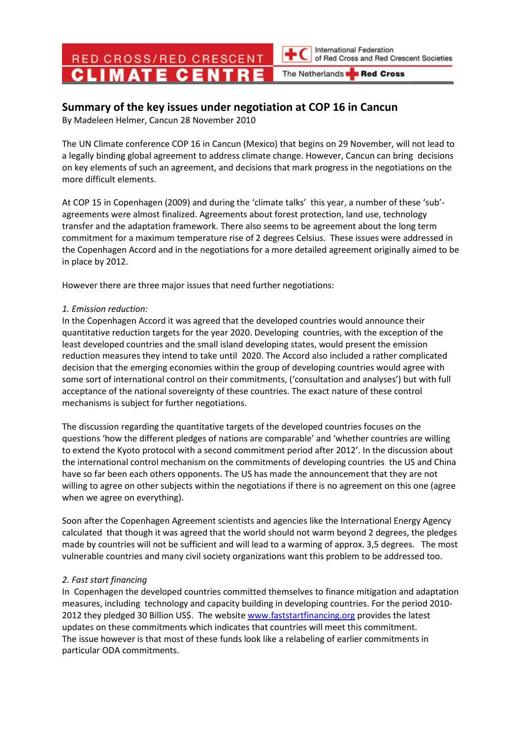RED CROSS/RED CRESCENT

International Federation of Red Cross and Red Crescent Societies

The Netherlands Red Cross

## Summary of the key issues under negotiation at COP 16 in Cancun

By Madeleen Helmer, Cancun 28 November 2010

The UN Climate conference COP 16 in Cancun (Mexico) that begins on 29 November, will not lead to a legally binding global agreement to address climate change. However, Cancun can bring decisions on key elements of such an agreement, and decisions that mark progress in the negotiations on the more difficult elements.

At COP 15 in Copenhagen (2009) and during the 'climate talks' this year, a number of these 'sub' agreements were almost finalized. Agreements about forest protection, land use, technology transfer and the adaptation framework. There also seems to be agreement about the long term commitment for a maximum temperature rise of 2 degrees Celsius. These issues were addressed in the Copenhagen Accord and in the negotiations for a more detailed agreement originally aimed to be in place by 2012.

However there are three major issues that need further negotiations:

## 1. Emission reduction:

In the Copenhagen Accord it was agreed that the developed countries would announce their quantitative reduction targets for the year 2020. Developing countries, with the exception of the least developed countries and the small island developing states, would present the emission reduction measures they intend to take until 2020. The Accord also included a rather complicated decision that the emerging economies within the group of developing countries would agree with some sort of international control on their commitments, ('consultation and analyses') but with full acceptance of the national sovereignty of these countries. The exact nature of these control mechanisms is subject for further negotiations.

The discussion regarding the quantitative targets of the developed countries focuses on the questions 'how the different pledges of nations are comparable' and 'whether countries are willing to extend the Kyoto protocol with a second commitment period after 2012'. In the discussion about the international control mechanism on the commitments of developing countries the US and China have so far been each others opponents. The US has made the announcement that they are not willing to agree on other subjects within the negotiations if there is no agreement on this one (agree when we agree on everything).

Soon after the Copenhagen Agreement scientists and agencies like the International Energy Agency calculated that though it was agreed that the world should not warm beyond 2 degrees, the pledges made by countries will not be sufficient and will lead to a warming of approx. 3,5 degrees. The most vulnerable countries and many civil society organizations want this problem to be addressed too.

## 2. Fast start financing

In Copenhagen the developed countries committed themselves to finance mitigation and adaptation measures, including technology and capacity building in developing countries. For the period 2010- 2012 they pledged 30 Billion US\$. The website www.faststartfinancing.org provides the latest updates on these commitments which indicates that countries will meet this commitment. The issue however is that most of these funds look like a relabeling of earlier commitments in particular ODA commitments.